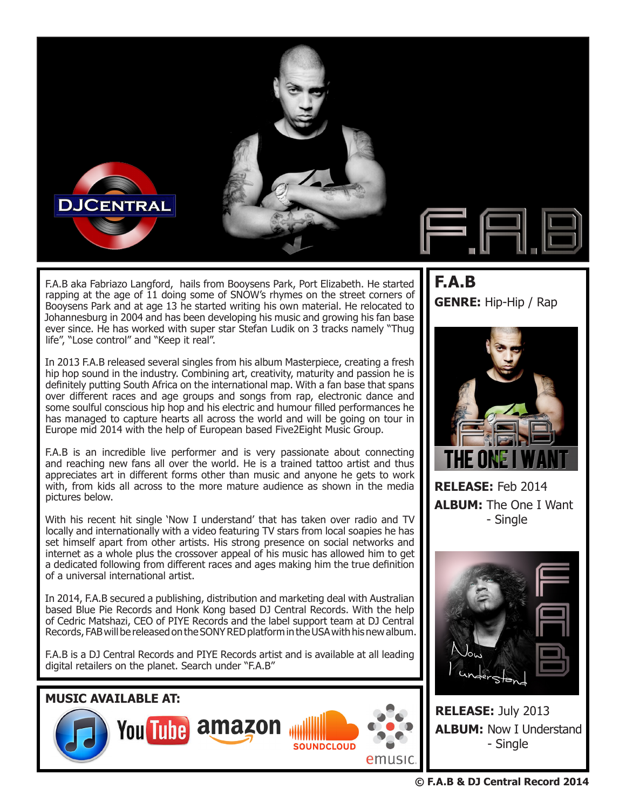

F.A.B aka Fabriazo Langford, hails from Booysens Park, Port Elizabeth. He started rapping at the age of 11 doing some of SNOW's rhymes on the street corners of Booysens Park and at age 13 he started writing his own material. He relocated to Johannesburg in 2004 and has been developing his music and growing his fan base ever since. He has worked with super star Stefan Ludik on 3 tracks namely "Thug life", "Lose control" and "Keep it real".

In 2013 F.A.B released several singles from his album Masterpiece, creating a fresh hip hop sound in the industry. Combining art, creativity, maturity and passion he is definitely putting South Africa on the international map. With a fan base that spans over different races and age groups and songs from rap, electronic dance and some soulful conscious hip hop and his electric and humour filled performances he has managed to capture hearts all across the world and will be going on tour in Europe mid 2014 with the help of European based Five2Eight Music Group.

F.A.B is an incredible live performer and is very passionate about connecting and reaching new fans all over the world. He is a trained tattoo artist and thus appreciates art in different forms other than music and anyone he gets to work with, from kids all across to the more mature audience as shown in the media pictures below.

With his recent hit single 'Now I understand' that has taken over radio and TV locally and internationally with a video featuring TV stars from local soapies he has set himself apart from other artists. His strong presence on social networks and internet as a whole plus the crossover appeal of his music has allowed him to get a dedicated following from different races and ages making him the true definition of a universal international artist.

In 2014, F.A.B secured a publishing, distribution and marketing deal with Australian based Blue Pie Records and Honk Kong based DJ Central Records. With the help of Cedric Matshazi, CEO of PIYE Records and the label support team at DJ Central Records, FAB will be released on the SONY RED platform in the USA with his new album.

F.A.B is a DJ Central Records and PIYE Records artist and is available at all leading digital retailers on the planet. Search under "F.A.B"



## **F.A.B GENRE:** Hip-Hip / Rap



**RELEASE:** Feb 2014 **ALBUM:** The One I Want - Single



**RELEASE:** July 2013 **ALBUM:** Now I Understand - Single